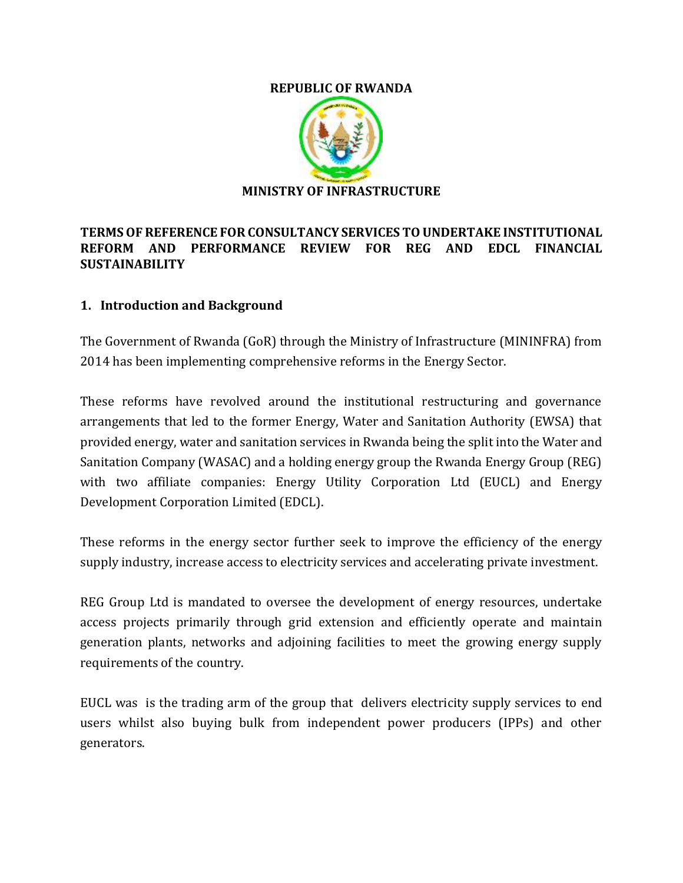#### **REPUBLIC OF RWANDA**



### **TERMS OF REFERENCE FOR CONSULTANCY SERVICES TO UNDERTAKE INSTITUTIONAL REFORM AND PERFORMANCE REVIEW FOR REG AND EDCL FINANCIAL SUSTAINABILITY**

### **1. Introduction and Background**

The Government of Rwanda (GoR) through the Ministry of Infrastructure (MININFRA) from 2014 has been implementing comprehensive reforms in the Energy Sector.

These reforms have revolved around the institutional restructuring and governance arrangements that led to the former Energy, Water and Sanitation Authority (EWSA) that provided energy, water and sanitation services in Rwanda being the split into the Water and Sanitation Company (WASAC) and a holding energy group the Rwanda Energy Group (REG) with two affiliate companies: Energy Utility Corporation Ltd (EUCL) and Energy Development Corporation Limited (EDCL).

These reforms in the energy sector further seek to improve the efficiency of the energy supply industry, increase access to electricity services and accelerating private investment.

REG Group Ltd is mandated to oversee the development of energy resources, undertake access projects primarily through grid extension and efficiently operate and maintain generation plants, networks and adjoining facilities to meet the growing energy supply requirements of the country.

EUCL was is the trading arm of the group that delivers electricity supply services to end users whilst also buying bulk from independent power producers (IPPs) and other generators.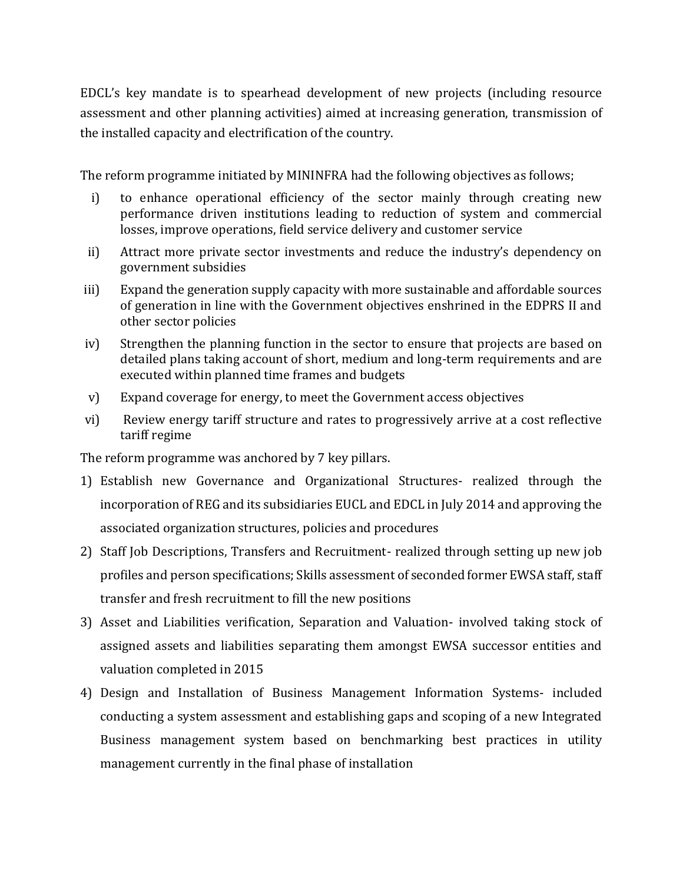EDCL's key mandate is to spearhead development of new projects (including resource assessment and other planning activities) aimed at increasing generation, transmission of the installed capacity and electrification of the country.

The reform programme initiated by MININFRA had the following objectives as follows;

- i) to enhance operational efficiency of the sector mainly through creating new performance driven institutions leading to reduction of system and commercial losses, improve operations, field service delivery and customer service
- ii) Attract more private sector investments and reduce the industry's dependency on government subsidies
- iii) Expand the generation supply capacity with more sustainable and affordable sources of generation in line with the Government objectives enshrined in the EDPRS II and other sector policies
- iv) Strengthen the planning function in the sector to ensure that projects are based on detailed plans taking account of short, medium and long-term requirements and are executed within planned time frames and budgets
- v) Expand coverage for energy, to meet the Government access objectives
- vi) Review energy tariff structure and rates to progressively arrive at a cost reflective tariff regime

The reform programme was anchored by 7 key pillars.

- 1) Establish new Governance and Organizational Structures- realized through the incorporation of REG and its subsidiaries EUCL and EDCL in July 2014 and approving the associated organization structures, policies and procedures
- 2) Staff Job Descriptions, Transfers and Recruitment- realized through setting up new job profiles and person specifications; Skills assessment of seconded former EWSA staff, staff transfer and fresh recruitment to fill the new positions
- 3) Asset and Liabilities verification, Separation and Valuation- involved taking stock of assigned assets and liabilities separating them amongst EWSA successor entities and valuation completed in 2015
- 4) Design and Installation of Business Management Information Systems- included conducting a system assessment and establishing gaps and scoping of a new Integrated Business management system based on benchmarking best practices in utility management currently in the final phase of installation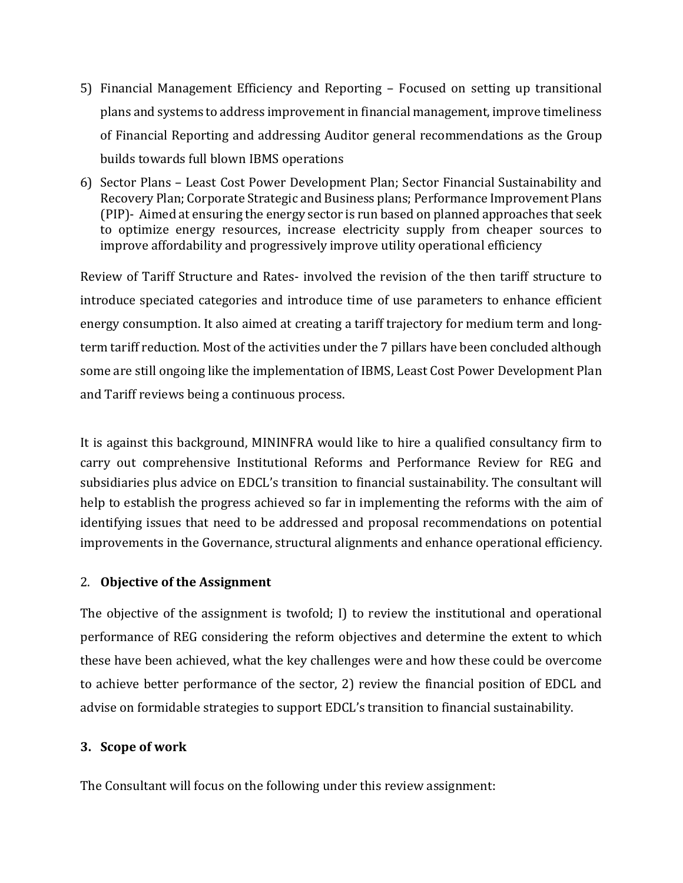- 5) Financial Management Efficiency and Reporting Focused on setting up transitional plans and systems to address improvement in financial management, improve timeliness of Financial Reporting and addressing Auditor general recommendations as the Group builds towards full blown IBMS operations
- 6) Sector Plans Least Cost Power Development Plan; Sector Financial Sustainability and Recovery Plan; Corporate Strategic and Business plans; Performance Improvement Plans (PIP)- Aimed at ensuring the energy sector is run based on planned approaches that seek to optimize energy resources, increase electricity supply from cheaper sources to improve affordability and progressively improve utility operational efficiency

Review of Tariff Structure and Rates- involved the revision of the then tariff structure to introduce speciated categories and introduce time of use parameters to enhance efficient energy consumption. It also aimed at creating a tariff trajectory for medium term and longterm tariff reduction. Most of the activities under the 7 pillars have been concluded although some are still ongoing like the implementation of IBMS, Least Cost Power Development Plan and Tariff reviews being a continuous process.

It is against this background, MININFRA would like to hire a qualified consultancy firm to carry out comprehensive Institutional Reforms and Performance Review for REG and subsidiaries plus advice on EDCL's transition to financial sustainability. The consultant will help to establish the progress achieved so far in implementing the reforms with the aim of identifying issues that need to be addressed and proposal recommendations on potential improvements in the Governance, structural alignments and enhance operational efficiency.

### 2. **Objective of the Assignment**

The objective of the assignment is twofold; I) to review the institutional and operational performance of REG considering the reform objectives and determine the extent to which these have been achieved, what the key challenges were and how these could be overcome to achieve better performance of the sector, 2) review the financial position of EDCL and advise on formidable strategies to support EDCL's transition to financial sustainability.

### **3. Scope of work**

The Consultant will focus on the following under this review assignment: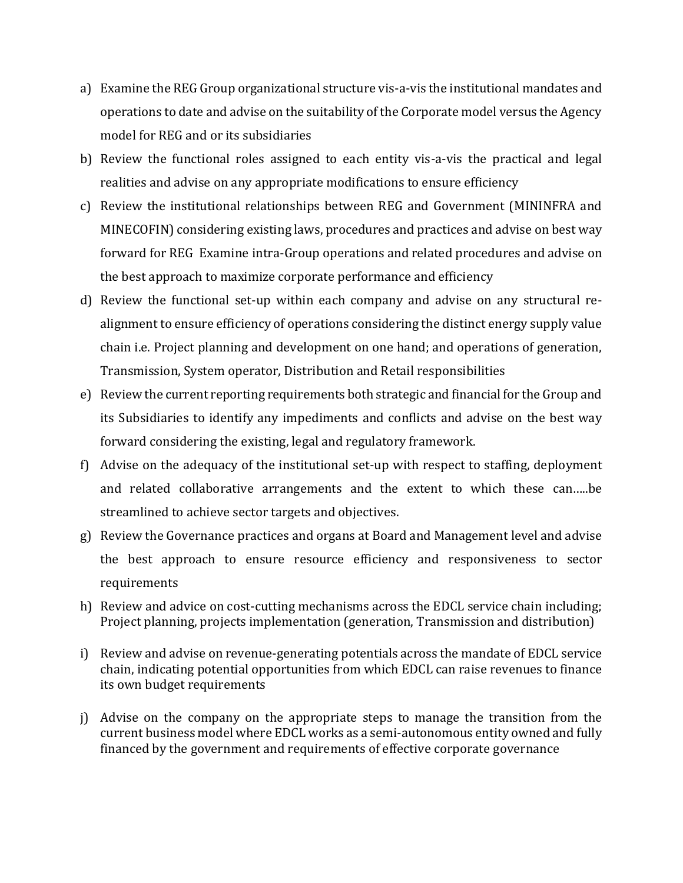- a) Examine the REG Group organizational structure vis-a-vis the institutional mandates and operations to date and advise on the suitability of the Corporate model versus the Agency model for REG and or its subsidiaries
- b) Review the functional roles assigned to each entity vis-a-vis the practical and legal realities and advise on any appropriate modifications to ensure efficiency
- c) Review the institutional relationships between REG and Government (MININFRA and MINECOFIN) considering existing laws, procedures and practices and advise on best way forward for REG Examine intra-Group operations and related procedures and advise on the best approach to maximize corporate performance and efficiency
- d) Review the functional set-up within each company and advise on any structural realignment to ensure efficiency of operations considering the distinct energy supply value chain i.e. Project planning and development on one hand; and operations of generation, Transmission, System operator, Distribution and Retail responsibilities
- e) Review the current reporting requirements both strategic and financial for the Group and its Subsidiaries to identify any impediments and conflicts and advise on the best way forward considering the existing, legal and regulatory framework.
- f) Advise on the adequacy of the institutional set-up with respect to staffing, deployment and related collaborative arrangements and the extent to which these can…..be streamlined to achieve sector targets and objectives.
- g) Review the Governance practices and organs at Board and Management level and advise the best approach to ensure resource efficiency and responsiveness to sector requirements
- h) Review and advice on cost-cutting mechanisms across the EDCL service chain including; Project planning, projects implementation (generation, Transmission and distribution)
- i) Review and advise on revenue-generating potentials across the mandate of EDCL service chain, indicating potential opportunities from which EDCL can raise revenues to finance its own budget requirements
- j) Advise on the company on the appropriate steps to manage the transition from the current business model where EDCL works as a semi-autonomous entity owned and fully financed by the government and requirements of effective corporate governance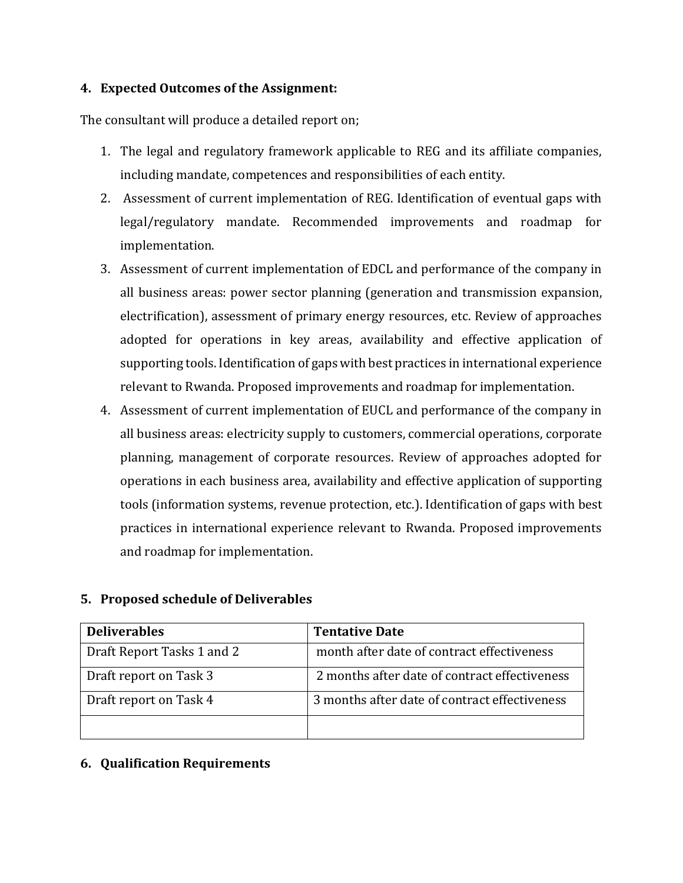### **4. Expected Outcomes of the Assignment:**

The consultant will produce a detailed report on;

- 1. The legal and regulatory framework applicable to REG and its affiliate companies, including mandate, competences and responsibilities of each entity.
- 2. Assessment of current implementation of REG. Identification of eventual gaps with legal/regulatory mandate. Recommended improvements and roadmap for implementation.
- 3. Assessment of current implementation of EDCL and performance of the company in all business areas: power sector planning (generation and transmission expansion, electrification), assessment of primary energy resources, etc. Review of approaches adopted for operations in key areas, availability and effective application of supporting tools. Identification of gaps with best practices in international experience relevant to Rwanda. Proposed improvements and roadmap for implementation.
- 4. Assessment of current implementation of EUCL and performance of the company in all business areas: electricity supply to customers, commercial operations, corporate planning, management of corporate resources. Review of approaches adopted for operations in each business area, availability and effective application of supporting tools (information systems, revenue protection, etc.). Identification of gaps with best practices in international experience relevant to Rwanda. Proposed improvements and roadmap for implementation.

| <b>Deliverables</b>        | <b>Tentative Date</b>                         |
|----------------------------|-----------------------------------------------|
| Draft Report Tasks 1 and 2 | month after date of contract effectiveness    |
| Draft report on Task 3     | 2 months after date of contract effectiveness |
| Draft report on Task 4     | 3 months after date of contract effectiveness |
|                            |                                               |

## **5. Proposed schedule of Deliverables**

### **6. Qualification Requirements**